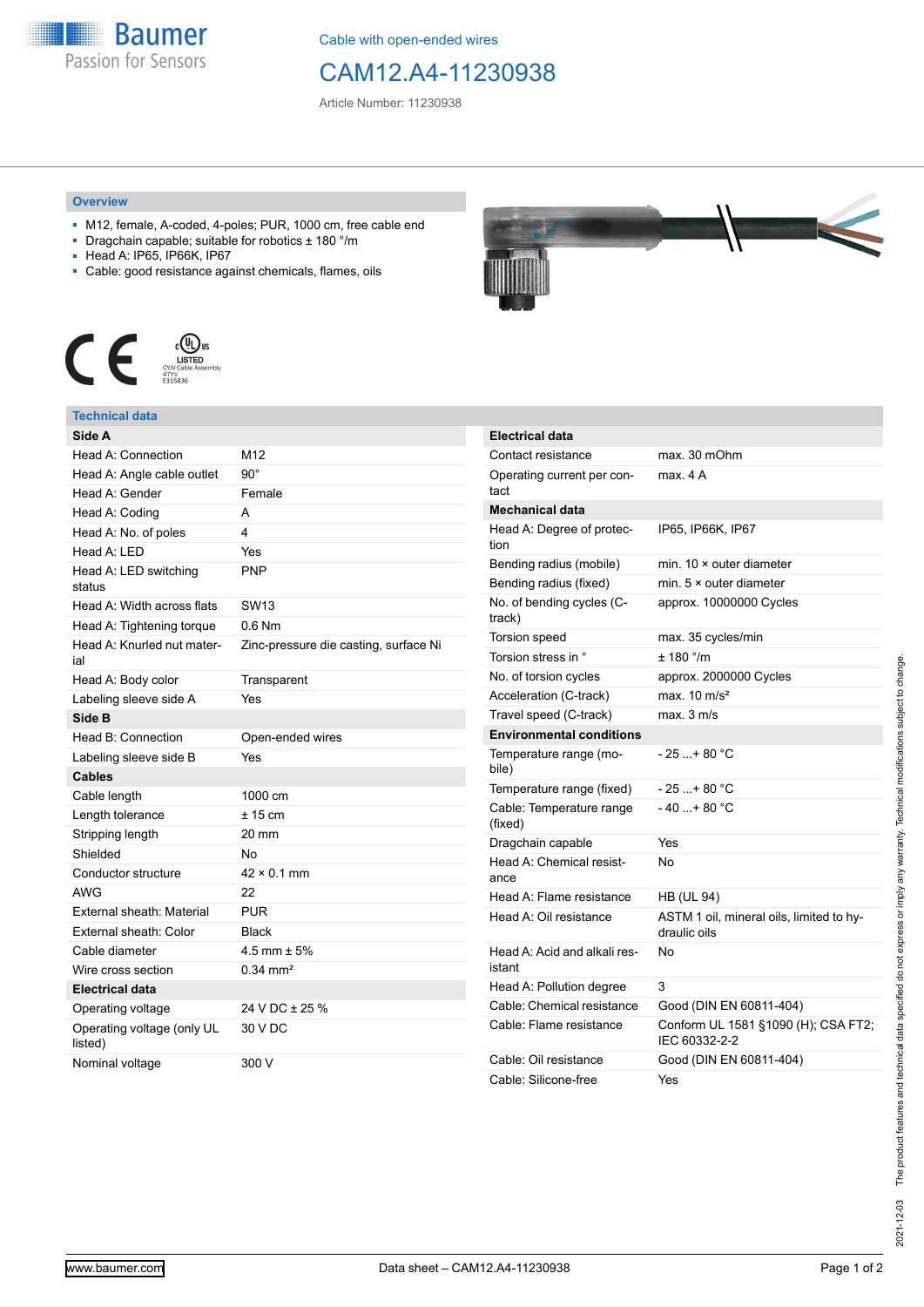

Cable with open-ended wires

## CAM12.A4-11230938

Article Number: 11230938

## **Overview**

- M12, female, A-coded, 4-poles; PUR, 1000 cm, free cable end
- Dragchain capable; suitable for robotics ± 180 °/m
- Head A: IP65, IP66K, IP67
- Cable: good resistance against chemicals, flames, oils



## **Technical data**

| Side A                                |                                       |
|---------------------------------------|---------------------------------------|
| Head A: Connection                    | M12                                   |
| Head A: Angle cable outlet            | $90^{\circ}$                          |
| Head A: Gender                        | Female                                |
| Head A: Coding                        | A                                     |
| Head A: No. of poles                  | 4                                     |
| Head A: LED                           | Yes                                   |
| Head A: LED switching<br>status       | PNP                                   |
| Head A: Width across flats            | <b>SW13</b>                           |
| Head A: Tightening torque             | $0.6$ Nm                              |
| Head A: Knurled nut mater-<br>ial     | Zinc-pressure die casting, surface Ni |
| Head A: Body color                    | Transparent                           |
| Labeling sleeve side A                | Yes                                   |
| Side B                                |                                       |
| Head B: Connection                    | Open-ended wires                      |
| Labeling sleeve side B                | Yes                                   |
| Cables                                |                                       |
| Cable length                          | 1000 cm                               |
| Length tolerance                      | $± 15$ cm                             |
| Stripping length                      | 20 mm                                 |
| Shielded                              | No                                    |
| Conductor structure                   | $42 \times 0.1$ mm                    |
| <b>AWG</b>                            | 22                                    |
| <b>External sheath: Material</b>      | <b>PUR</b>                            |
| External sheath: Color                | <b>Black</b>                          |
| Cable diameter                        | 4.5 mm $\pm$ 5%                       |
| Wire cross section                    | $0.34 \, \text{mm}^2$                 |
| <b>Electrical data</b>                |                                       |
| Operating voltage                     | 24 V DC ± 25 %                        |
| Operating voltage (only UL<br>listed) | 30 V DC                               |
| Nominal voltage                       | 300 V                                 |



| <b>Electrical data</b>                 |                                                          |
|----------------------------------------|----------------------------------------------------------|
| Contact resistance                     | max. 30 mOhm                                             |
| Operating current per con-<br>tact     | max. 4 A                                                 |
| <b>Mechanical data</b>                 |                                                          |
| Head A: Degree of protec-<br>tion      | IP65, IP66K, IP67                                        |
| Bending radius (mobile)                | min. $10 \times$ outer diameter                          |
| Bending radius (fixed)                 | min. $5 \times$ outer diameter                           |
| No. of bending cycles (C-<br>track)    | approx. 10000000 Cycles                                  |
| <b>Torsion speed</b>                   | max. 35 cycles/min                                       |
| Torsion stress in °                    | ± 180 °/m                                                |
| No. of torsion cycles                  | approx. 2000000 Cycles                                   |
| Acceleration (C-track)                 | max. $10 \text{ m/s}^2$                                  |
| Travel speed (C-track)                 | max. 3 m/s                                               |
| <b>Environmental conditions</b>        |                                                          |
| Temperature range (mo-<br>bile)        | $-25+80 °C$                                              |
| Temperature range (fixed)              | $-25+80 °C$                                              |
| Cable: Temperature range<br>(fixed)    | $-40+80 °C$                                              |
| Dragchain capable                      | Yes                                                      |
| Head A: Chemical resist-<br>ance       | No                                                       |
| Head A: Flame resistance               | <b>HB (UL 94)</b>                                        |
| Head A: Oil resistance                 | ASTM 1 oil, mineral oils, limited to hy-<br>draulic oils |
| Head A: Acid and alkali res-<br>istant | N٥                                                       |
| Head A: Pollution degree               | 3                                                        |
| Cable: Chemical resistance             | Good (DIN EN 60811-404)                                  |
| Cable: Flame resistance                | Conform UL 1581 §1090 (H); CSA FT2;<br>IEC 60332-2-2     |
| Cable: Oil resistance                  | Good (DIN EN 60811-404)                                  |
| Cable: Silicone-free                   | Yes                                                      |